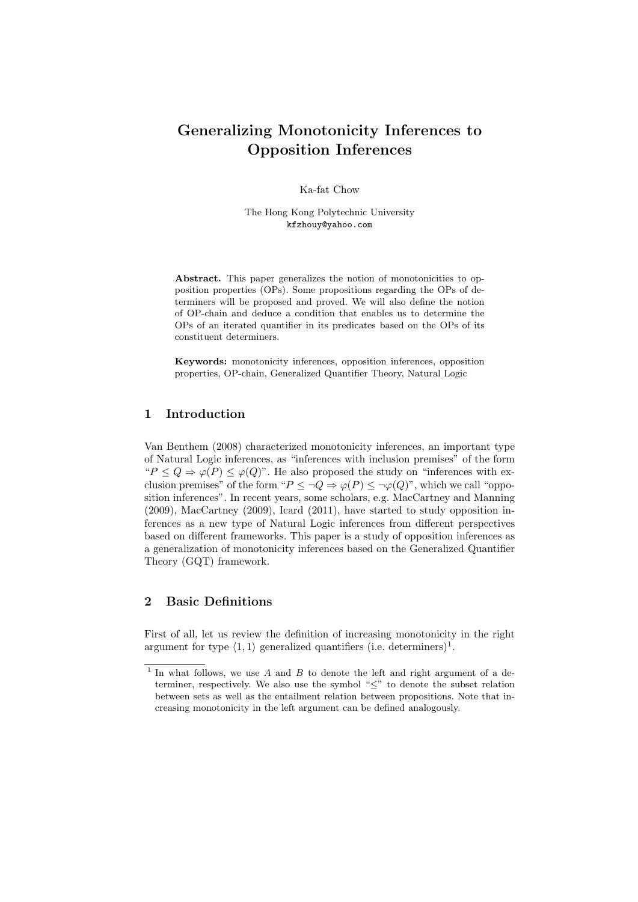# Generalizing Monotonicity Inferences to Opposition Inferences

Ka-fat Chow

The Hong Kong Polytechnic University kfzhouy@yahoo.com

Abstract. This paper generalizes the notion of monotonicities to opposition properties (OPs). Some propositions regarding the OPs of determiners will be proposed and proved. We will also define the notion of OP-chain and deduce a condition that enables us to determine the OPs of an iterated quantifier in its predicates based on the OPs of its constituent determiners.

Keywords: monotonicity inferences, opposition inferences, opposition properties, OP-chain, Generalized Quantifier Theory, Natural Logic

# 1 Introduction

Van Benthem (2008) characterized monotonicity inferences, an important type of Natural Logic inferences, as "inferences with inclusion premises" of the form " $P \le Q \Rightarrow \varphi(P) \le \varphi(Q)$ ". He also proposed the study on "inferences with exclusion premises" of the form " $P \leq \neg Q \Rightarrow \varphi(P) \leq \neg \varphi(Q)$ ", which we call "opposition inferences". In recent years, some scholars, e.g. MacCartney and Manning (2009), MacCartney (2009), Icard (2011), have started to study opposition inferences as a new type of Natural Logic inferences from different perspectives based on different frameworks. This paper is a study of opposition inferences as a generalization of monotonicity inferences based on the Generalized Quantifier Theory (GQT) framework.

# 2 Basic Definitions

First of all, let us review the definition of increasing monotonicity in the right argument for type  $\langle 1, 1 \rangle$  generalized quantifiers (i.e. determiners)<sup>1</sup>.

<sup>&</sup>lt;sup>1</sup> In what follows, we use  $A$  and  $B$  to denote the left and right argument of a determiner, respectively. We also use the symbol "≤" to denote the subset relation between sets as well as the entailment relation between propositions. Note that increasing monotonicity in the left argument can be defined analogously.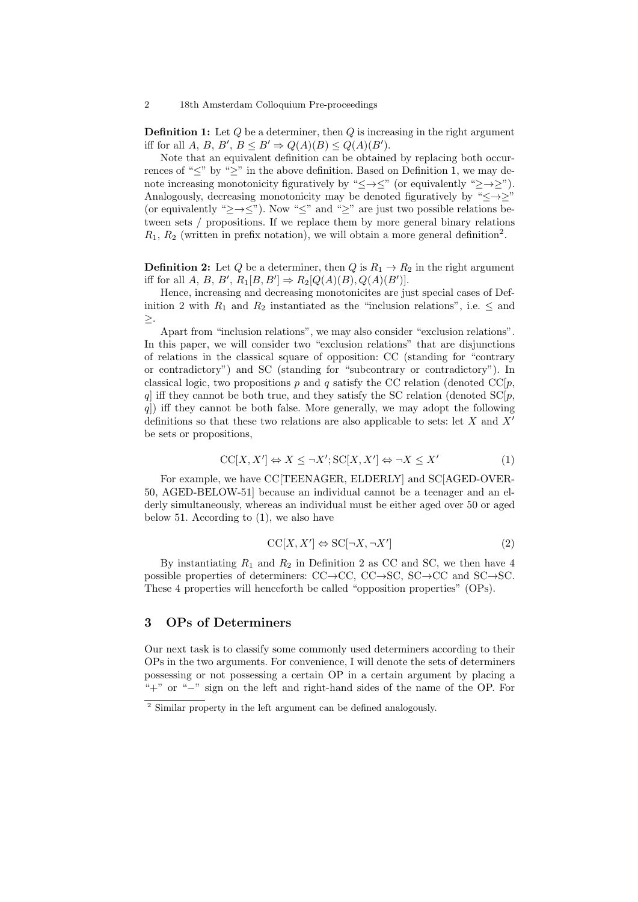#### 2 18th Amsterdam Colloquium Pre-proceedings

**Definition 1:** Let  $Q$  be a determiner, then  $Q$  is increasing in the right argument iff for all A, B, B',  $B \leq B' \Rightarrow Q(A)(B) \leq Q(A)(B')$ .

Note that an equivalent definition can be obtained by replacing both occurrences of "≤" by "≥" in the above definition. Based on Definition 1, we may denote increasing monotonicity figuratively by " $\leq \to \leq$ " (or equivalently " $\geq \to \geq$ "). Analogously, decreasing monotonicity may be denoted figuratively by " $\leq \rightarrow \geq$ " (or equivalently " $\geq \to \leq$ "). Now " $\leq$ " and " $\geq$ " are just two possible relations between sets / propositions. If we replace them by more general binary relations  $R_1, R_2$  (written in prefix notation), we will obtain a more general definition<sup>2</sup>.

**Definition 2:** Let Q be a determiner, then Q is  $R_1 \rightarrow R_2$  in the right argument iff for all  $A, B, B', R_1[B, B'] \Rightarrow R_2[Q(A)(B), Q(A)(B')].$ 

Hence, increasing and decreasing monotonicites are just special cases of Definition 2 with  $R_1$  and  $R_2$  instantiated as the "inclusion relations", i.e.  $\leq$  and ≥.

Apart from "inclusion relations", we may also consider "exclusion relations". In this paper, we will consider two "exclusion relations" that are disjunctions of relations in the classical square of opposition: CC (standing for "contrary or contradictory") and SC (standing for "subcontrary or contradictory"). In classical logic, two propositions p and q satisfy the CC relation (denoted  $\text{CC}[p]$ , q] iff they cannot be both true, and they satisfy the SC relation (denoted  $SC[p]$ , q]) iff they cannot be both false. More generally, we may adopt the following definitions so that these two relations are also applicable to sets: let X and X<sup> $\prime$ </sup> be sets or propositions,

$$
CC[X, X'] \Leftrightarrow X \le \neg X'; SC[X, X'] \Leftrightarrow \neg X \le X'
$$
 (1)

For example, we have CC[TEENAGER, ELDERLY] and SC[AGED-OVER-50, AGED-BELOW-51] because an individual cannot be a teenager and an elderly simultaneously, whereas an individual must be either aged over 50 or aged below 51. According to  $(1)$ , we also have

$$
CC[X, X'] \Leftrightarrow SC[\neg X, \neg X'] \tag{2}
$$

By instantiating  $R_1$  and  $R_2$  in Definition 2 as CC and SC, we then have 4 possible properties of determiners: CC→CC, CC→SC, SC→CC and SC→SC. These 4 properties will henceforth be called "opposition properties" (OPs).

### 3 OPs of Determiners

Our next task is to classify some commonly used determiners according to their OPs in the two arguments. For convenience, I will denote the sets of determiners possessing or not possessing a certain OP in a certain argument by placing a "+" or "−" sign on the left and right-hand sides of the name of the OP. For

<sup>2</sup> Similar property in the left argument can be defined analogously.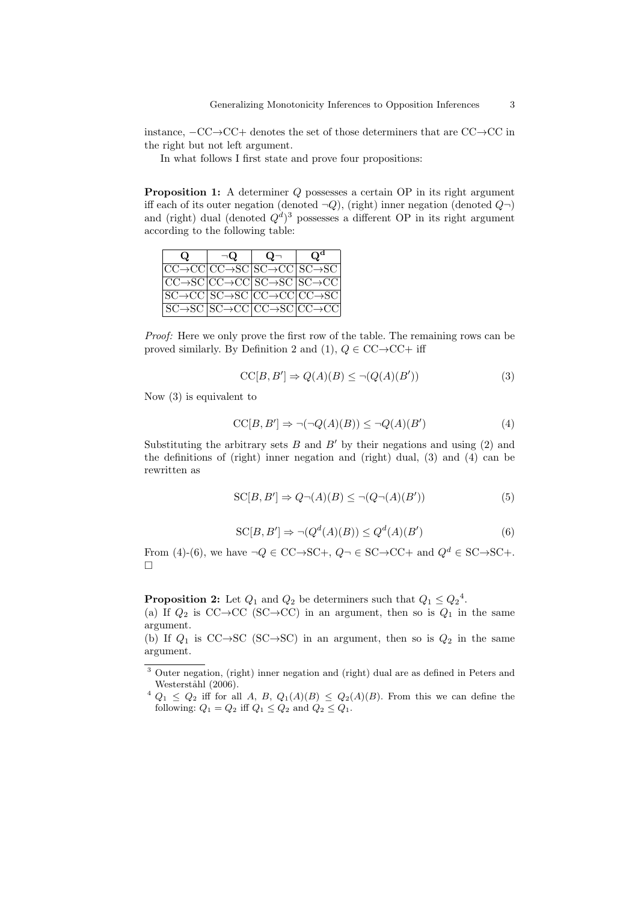instance, −CC→CC+ denotes the set of those determiners that are CC→CC in the right but not left argument.

In what follows I first state and prove four propositions:

Proposition 1: A determiner Q possesses a certain OP in its right argument iff each of its outer negation (denoted  $\neg Q$ ), (right) inner negation (denoted  $Q\neg$ ) and (right) dual (denoted  $Q<sup>d</sup>$ )<sup>3</sup> possesses a different OP in its right argument according to the following table:

| $\omega$                                                                          | $\neg$ Q | $\Omega$ | $\Omega^{\mathbf{d}}$ |
|-----------------------------------------------------------------------------------|----------|----------|-----------------------|
| $ CC \rightarrow CC CC \rightarrow SC SC \rightarrow CC SC \rightarrow SC $       |          |          |                       |
| $ CC \rightarrow SC CC \rightarrow CC SC \rightarrow SC SC \rightarrow CC $       |          |          |                       |
| $ SC \rightarrow CC SC \rightarrow SC CC \rightarrow CC CC \rightarrow SC $       |          |          |                       |
| $ SC \rightarrow SC   SC \rightarrow CC   CC \rightarrow SC   CC \rightarrow CC $ |          |          |                       |

Proof: Here we only prove the first row of the table. The remaining rows can be proved similarly. By Definition 2 and (1),  $Q \in CC \rightarrow CC +$  iff

$$
CC[B, B'] \Rightarrow Q(A)(B) \le \neg (Q(A)(B')) \tag{3}
$$

Now (3) is equivalent to

$$
CC[B, B'] \Rightarrow \neg(\neg Q(A)(B)) \le \neg Q(A)(B')
$$
\n<sup>(4)</sup>

Substituting the arbitrary sets B and B' by their negations and using  $(2)$  and the definitions of (right) inner negation and (right) dual, (3) and (4) can be rewritten as

$$
SC[B, B'] \Rightarrow Q \neg (A)(B) \leq \neg (Q \neg (A)(B')) \tag{5}
$$

$$
SC[B, B'] \Rightarrow \neg(Q^d(A)(B)) \le Q^d(A)(B')
$$
 (6)

From (4)-(6), we have  $\neg Q \in CC \rightarrow SC^+$ ,  $Q \neg \in SC \rightarrow CC^+$  and  $Q^d \in SC \rightarrow SC^+$ .  $\Box$ 

**Proposition 2:** Let  $Q_1$  and  $Q_2$  be determiners such that  $Q_1 \n\t\leq Q_2^4$ .

(a) If  $Q_2$  is CC→CC (SC→CC) in an argument, then so is  $Q_1$  in the same argument.

(b) If  $Q_1$  is CC→SC (SC→SC) in an argument, then so is  $Q_2$  in the same argument.

<sup>3</sup> Outer negation, (right) inner negation and (right) dual are as defined in Peters and Westerståhl (2006).

 $4 Q_1 \leq Q_2$  iff for all A, B,  $Q_1(A)(B) \leq Q_2(A)(B)$ . From this we can define the following:  $Q_1 = Q_2$  iff  $Q_1 \leq Q_2$  and  $Q_2 \leq Q_1$ .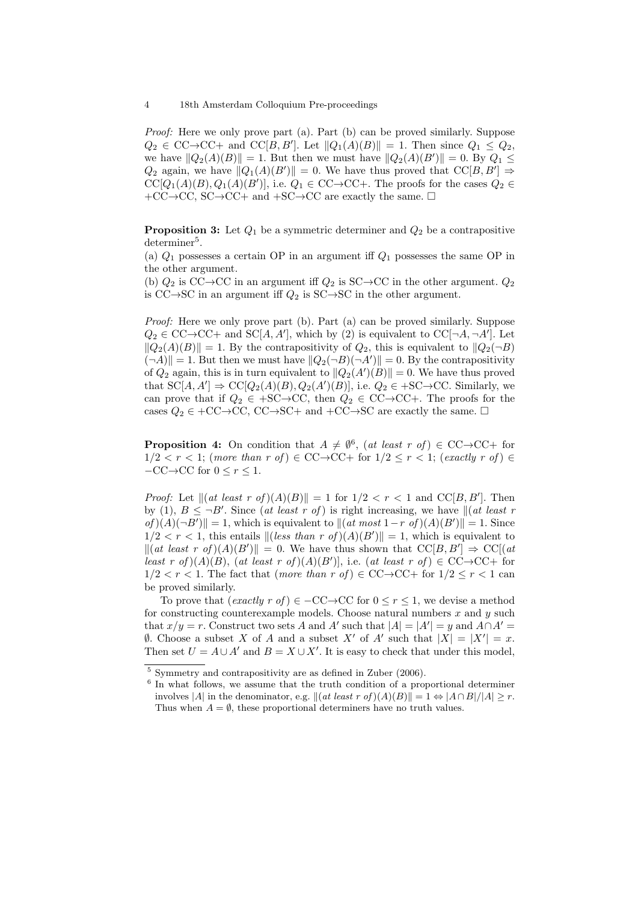Proof: Here we only prove part (a). Part (b) can be proved similarly. Suppose  $Q_2 \in CC \rightarrow CC+$  and  $CC[B, B']$ . Let  $||Q_1(A)(B)|| = 1$ . Then since  $Q_1 \leq Q_2$ , we have  $||Q_2(A)(B)|| = 1$ . But then we must have  $||Q_2(A)(B)|| = 0$ . By  $Q_1 \leq$  $Q_2$  again, we have  $||Q_1(A)(B')|| = 0$ . We have thus proved that  $\text{CC}[B, B'] \Rightarrow$  $CC[Q_1(A)(B), Q_1(A)(B')]$ , i.e.  $Q_1 \in CC \rightarrow CC +$ . The proofs for the cases  $Q_2 \in$  $+CC \rightarrow CC, SC \rightarrow CC+$  and  $+SC \rightarrow CC$  are exactly the same.  $\Box$ 

**Proposition 3:** Let  $Q_1$  be a symmetric determiner and  $Q_2$  be a contrapositive  $d$ eterminer<sup>5</sup>.

(a)  $Q_1$  possesses a certain OP in an argument iff  $Q_1$  possesses the same OP in the other argument.

(b)  $Q_2$  is CC→CC in an argument iff  $Q_2$  is SC→CC in the other argument.  $Q_2$ is  $CC \rightarrow SC$  in an argument iff  $Q_2$  is  $SC \rightarrow SC$  in the other argument.

Proof: Here we only prove part (b). Part (a) can be proved similarly. Suppose  $Q_2 \in CC \rightarrow CC+$  and  $SC[A, A'],$  which by (2) is equivalent to  $CC[\neg A, \neg A'].$  Let  $||Q_2(A)(B)|| = 1$ . By the contrapositivity of  $Q_2$ , this is equivalent to  $||Q_2(\neg B)||$  $(\neg A)$  = 1. But then we must have  $||Q_2(\neg B)(\neg A')|| = 0$ . By the contrapositivity of  $Q_2$  again, this is in turn equivalent to  $||Q_2(A')(B)|| = 0$ . We have thus proved that  $SC[A, A'] \Rightarrow CC[Q_2(A)(B), Q_2(A')(B)],$  i.e.  $Q_2 \in +SC \rightarrow CC$ . Similarly, we can prove that if  $Q_2 \in +SC \rightarrow CC$ , then  $Q_2 \in CC \rightarrow CC +$ . The proofs for the cases  $Q_2 \in +CC \rightarrow CC$ ,  $CC \rightarrow SC +$  and  $+CC \rightarrow SC$  are exactly the same.  $\square$ 

**Proposition 4:** On condition that  $A \neq \emptyset^6$ , (at least r of)  $\in CC \rightarrow CC +$  for  $1/2 < r < 1$ ; (more than r of)  $\in$  CC $\rightarrow$ CC+ for  $1/2 \le r < 1$ ; (exactly r of)  $\in$  $-CC \rightarrow CC$  for  $0 \leq r \leq 1$ .

*Proof:* Let  $||(at least r of)(A)(B)|| = 1$  for  $1/2 < r < 1$  and  $CC[B, B']$ . Then by (1),  $B \leq \neg B'$ . Since (at least r of) is right increasing, we have  $\|(at \textit{ least } r$ of  $|(A)(\neg B')|| = 1$ , which is equivalent to  $||(at most 1-r of)(A)(B')|| = 1$ . Since  $1/2 < r < 1$ , this entails  $\| (\text{less than } r \text{ of })(A)(B') \| = 1$ , which is equivalent to k(at least r of )(A)(B<sup>0</sup> )k = 0. We have thus shown that CC[B, B<sup>0</sup> ] ⇒ CC[(at least r of  $(A)(B)$ , (at least r of  $(A)(B')$ ], i.e. (at least r of  $\in CC \rightarrow CC +$  for  $1/2 < r < 1$ . The fact that (more than r of)  $\in CC \rightarrow CC +$  for  $1/2 \le r < 1$  can be proved similarly.

To prove that  $(exactly\;r\;of) \in -CC \to CC$  for  $0 \leq r \leq 1$ , we devise a method for constructing counterexample models. Choose natural numbers  $x$  and  $y$  such that  $x/y = r$ . Construct two sets A and A' such that  $|A| = |A'| = y$  and  $A \cap A' =$  $\emptyset$ . Choose a subset X of A and a subset X' of A' such that  $|X| = |X'| = x$ . Then set  $U = A \cup A'$  and  $B = X \cup X'$ . It is easy to check that under this model,

<sup>5</sup> Symmetry and contrapositivity are as defined in Zuber (2006).

<sup>&</sup>lt;sup>6</sup> In what follows, we assume that the truth condition of a proportional determiner involves |A| in the denominator, e.g.  $\|(at \text{ least } r \text{ of })(A)(B)\|=1 \Leftrightarrow |A \cap B|/|A| \geq r.$ Thus when  $A = \emptyset$ , these proportional determiners have no truth values.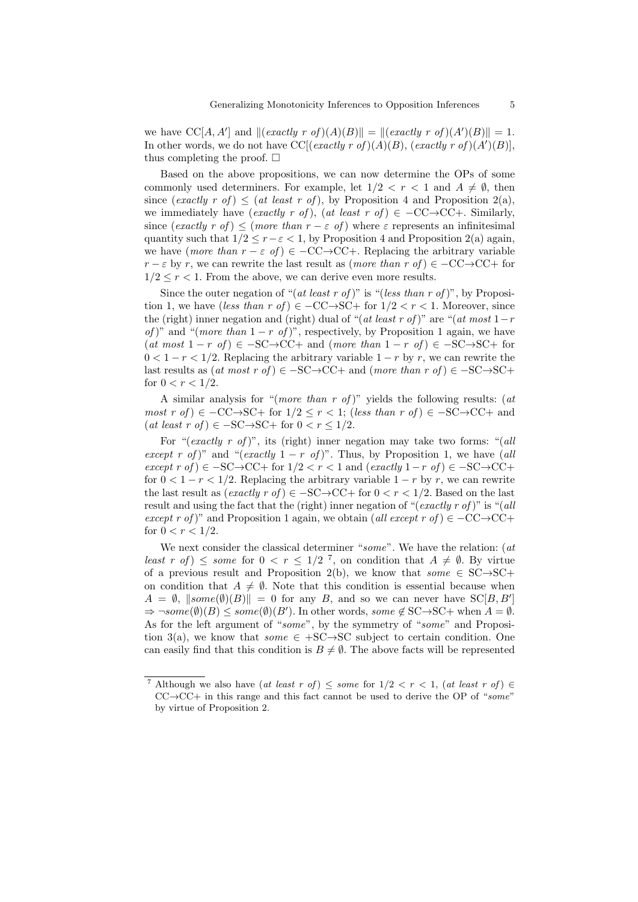we have  $CC[A, A']$  and  $||(exactly r of)(A)(B)|| = ||(exactly r of)(A')(B)|| = 1.$ In other words, we do not have CC[(*exactly r of*)( $A$ )( $B$ ), (*exactly r of*)( $A'$ )( $B$ )], thus completing the proof.  $\square$ 

Based on the above propositions, we can now determine the OPs of some commonly used determiners. For example, let  $1/2 < r < 1$  and  $A \neq \emptyset$ , then since (exactly r of)  $\leq$  (at least r of), by Proposition 4 and Proposition 2(a), we immediately have (exactly r of), (at least r of)  $\in$   $-CC \rightarrow CC +$ . Similarly, since (exactly r of)  $\leq$  (more than  $r - \varepsilon$  of) where  $\varepsilon$  represents an infinitesimal quantity such that  $1/2 \le r - \varepsilon < 1$ , by Proposition 4 and Proposition 2(a) again, we have (more than  $r - \varepsilon$  of)  $\in -CC \rightarrow CC +$ . Replacing the arbitrary variable  $r - \varepsilon$  by r, we can rewrite the last result as  $(more than r of) \in -CC \rightarrow CC +$  for  $1/2 \le r \le 1$ . From the above, we can derive even more results.

Since the outer negation of "(at least r of)" is "(less than r of)", by Proposition 1, we have (less than r of)  $\in$  -CC→SC+ for  $1/2 < r < 1$ . Moreover, since the (right) inner negation and (right) dual of "(at least r of)" are "(at most  $1-r$ of)" and "(more than  $1 - r$  of)", respectively, by Proposition 1 again, we have  $(at \text{ most } 1 - r \text{ of}) \in -SC \rightarrow CC +$  and  $(more \text{ than } 1 - r \text{ of}) \in -SC \rightarrow SC +$  for  $0 < 1 - r < 1/2$ . Replacing the arbitrary variable  $1 - r$  by r, we can rewrite the last results as  $(at \text{ most } r \text{ of}) \in -SC \rightarrow CC+$  and  $(more \text{ than } r \text{ of}) \in -SC \rightarrow SC+$ for  $0 < r < 1/2$ .

A similar analysis for "(*more than r of*)" yields the following results: (*at* most r of)  $\in$  -CC→SC+ for  $1/2 \le r < 1$ ; (less than r of)  $\in$  -SC→CC+ and  $(at \ least \ r \ of) \in -SC \rightarrow SC +$  for  $0 < r \leq 1/2$ .

For "(exactly r of)", its (right) inner negation may take two forms: "(all except r of)" and "(exactly  $1 - r$  of)". Thus, by Proposition 1, we have (all except r of)  $\in$  -SC→CC+ for 1/2 < r < 1 and (exactly 1 - r of)  $\in$  -SC→CC+ for  $0 < 1 - r < 1/2$ . Replacing the arbitrary variable  $1 - r$  by r, we can rewrite the last result as  $(exactly\; r\; of) \in -SC \to CC +$  for  $0 < r < 1/2$ . Based on the last result and using the fact that the (right) inner negation of "(exactly r of)" is "(all except r of)" and Proposition 1 again, we obtain (all except r of)  $\in$  -CC $\rightarrow$ CC+ for  $0 < r < 1/2$ .

We next consider the classical determiner "some". We have the relation: (at least r of  $\leq$  some for  $0 < r \leq 1/2^7$ , on condition that  $A \neq \emptyset$ . By virtue of a previous result and Proposition 2(b), we know that  $some \in SC \rightarrow SC+$ on condition that  $A \neq \emptyset$ . Note that this condition is essential because when  $A = \emptyset$ ,  $\|some(\emptyset)(B)\| = 0$  for any B, and so we can never have  $SC[B, B']$  $\Rightarrow \neg some(\emptyset)(B) \leq some(\emptyset)(B')$ . In other words, some  $\notin$  SC $\rightarrow$ SC+ when  $A = \emptyset$ . As for the left argument of "some", by the symmetry of "some" and Proposition 3(a), we know that *some*  $\in$  +SC→SC subject to certain condition. One can easily find that this condition is  $B \neq \emptyset$ . The above facts will be represented

<sup>&</sup>lt;sup>7</sup> Although we also have (at least r of)  $\leq$  some for  $1/2 < r < 1$ , (at least r of)  $\in$  $CC \rightarrow CC +$  in this range and this fact cannot be used to derive the OP of "some" by virtue of Proposition 2.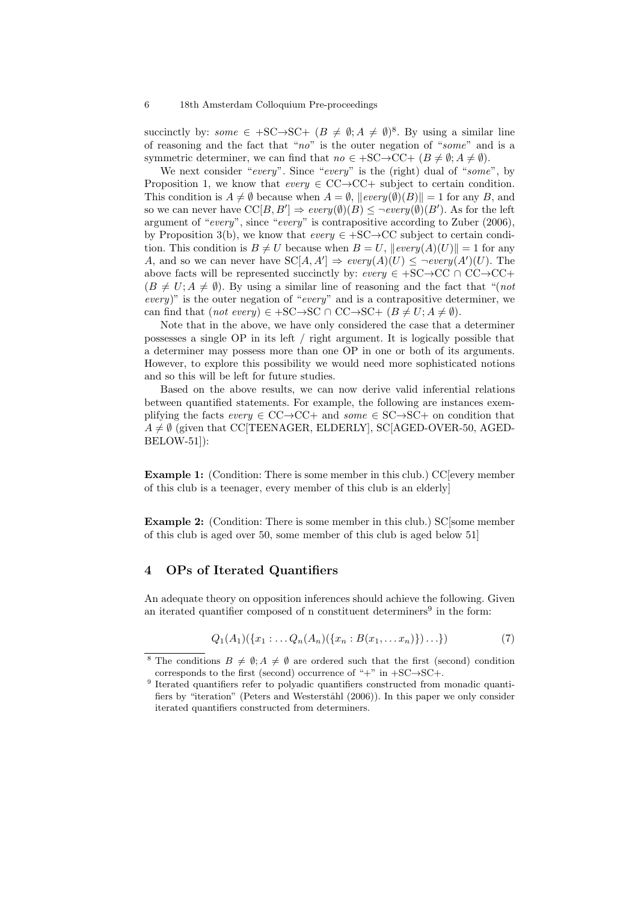succinctly by: some  $\in +SC \rightarrow SC + (B \neq \emptyset; A \neq \emptyset)^8$ . By using a similar line of reasoning and the fact that " $no$ " is the outer negation of "some" and is a symmetric determiner, we can find that  $no \in +SC \rightarrow CC + (B \neq \emptyset; A \neq \emptyset)$ .

We next consider "every". Since "every" is the (right) dual of "some", by Proposition 1, we know that  $every \in CC \rightarrow CC+$  subject to certain condition. This condition is  $A \neq \emptyset$  because when  $A = \emptyset$ ,  $\| \text{every}(\emptyset)(B) \| = 1$  for any B, and so we can never have  $\mathrm{CC}[B, B'] \Rightarrow \text{every}(\emptyset)(B) \leq \neg \text{every}(\emptyset)(B')$ . As for the left argument of "every", since "every" is contrapositive according to Zuber (2006), by Proposition 3(b), we know that  $every \in +SC \rightarrow CC$  subject to certain condition. This condition is  $B \neq U$  because when  $B = U$ ,  $\| \text{every}(A)(U) \| = 1$  for any A, and so we can never have  $SC[A, A'] \Rightarrow every(A)(U) \leq \neg every(A')(U)$ . The above facts will be represented succinctly by:  $every \in +SC \rightarrow CC \cap CC \rightarrow CC +$  $(B \neq U; A \neq \emptyset)$ . By using a similar line of reasoning and the fact that "(not every)" is the outer negation of "every" and is a contrapositive determiner, we can find that  $(not\; every) \in +SC \rightarrow SC \cap CC \rightarrow SC + (B \neq U; A \neq \emptyset).$ 

Note that in the above, we have only considered the case that a determiner possesses a single OP in its left / right argument. It is logically possible that a determiner may possess more than one OP in one or both of its arguments. However, to explore this possibility we would need more sophisticated notions and so this will be left for future studies.

Based on the above results, we can now derive valid inferential relations between quantified statements. For example, the following are instances exemplifying the facts  $every \in CC \rightarrow CC +$  and  $some \in SC \rightarrow SC +$  on condition that  $A \neq \emptyset$  (given that CC[TEENAGER, ELDERLY], SC[AGED-OVER-50, AGED-BELOW-51]):

Example 1: (Condition: There is some member in this club.) CC[every member of this club is a teenager, every member of this club is an elderly]

Example 2: (Condition: There is some member in this club.) SC[some member of this club is aged over 50, some member of this club is aged below 51]

# 4 OPs of Iterated Quantifiers

An adequate theory on opposition inferences should achieve the following. Given an iterated quantifier composed of n constituent determiners<sup>9</sup> in the form:

$$
Q_1(A_1)(\{x_1: \ldots Q_n(A_n)(\{x_n: B(x_1, \ldots, x_n)\})\ldots\})
$$
\n(7)

<sup>&</sup>lt;sup>8</sup> The conditions  $B \neq \emptyset; A \neq \emptyset$  are ordered such that the first (second) condition corresponds to the first (second) occurrence of "+" in  $+SC \rightarrow SC +$ .

<sup>&</sup>lt;sup>9</sup> Iterated quantifiers refer to polyadic quantifiers constructed from monadic quantifiers by "iteration" (Peters and Westerståhl (2006)). In this paper we only consider iterated quantifiers constructed from determiners.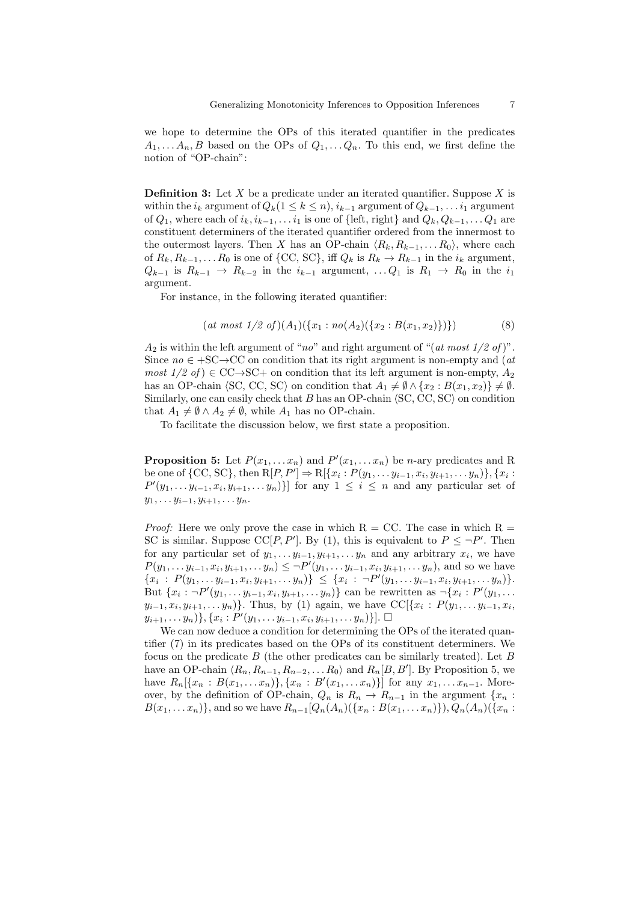we hope to determine the OPs of this iterated quantifier in the predicates  $A_1, \ldots, A_n, B$  based on the OPs of  $Q_1, \ldots, Q_n$ . To this end, we first define the notion of "OP-chain":

**Definition 3:** Let X be a predicate under an iterated quantifier. Suppose X is within the  $i_k$  argument of  $Q_k(1 \leq k \leq n)$ ,  $i_{k-1}$  argument of  $Q_{k-1}, \ldots i_1$  argument of  $Q_1$ , where each of  $i_k, i_{k-1}, \ldots i_1$  is one of {left, right} and  $Q_k, Q_{k-1}, \ldots Q_1$  are constituent determiners of the iterated quantifier ordered from the innermost to the outermost layers. Then X has an OP-chain  $\langle R_k, R_{k-1}, \ldots, R_0 \rangle$ , where each of  $R_k, R_{k-1}, \ldots R_0$  is one of {CC, SC}, iff  $Q_k$  is  $R_k \to R_{k-1}$  in the  $i_k$  argument,  $Q_{k-1}$  is  $R_{k-1} \rightarrow R_{k-2}$  in the  $i_{k-1}$  argument, ...  $Q_1$  is  $R_1 \rightarrow R_0$  in the  $i_1$ argument.

For instance, in the following iterated quantifier:

$$
(at most 1/2 of)(A1)(\{x1 : no(A2)(\{x2 : B(x1, x2)\})\})
$$
(8)

 $A_2$  is within the left argument of "no" and right argument of "(at most 1/2 of)". Since  $no \in +SC \rightarrow CC$  on condition that its right argument is non-empty and (*at* most  $1/2$  of)  $\in$  CC $\rightarrow$ SC+ on condition that its left argument is non-empty,  $A_2$ has an OP-chain  $\langle SC, CC, SC \rangle$  on condition that  $A_1 \neq \emptyset \wedge \{x_2 : B(x_1, x_2)\}\neq \emptyset$ . Similarly, one can easily check that  $B$  has an OP-chain  $\langle$  SC, CC, SC $\rangle$  on condition that  $A_1 \neq \emptyset \wedge A_2 \neq \emptyset$ , while  $A_1$  has no OP-chain.

To facilitate the discussion below, we first state a proposition.

**Proposition 5:** Let  $P(x_1, \ldots, x_n)$  and  $P'(x_1, \ldots, x_n)$  be *n*-ary predicates and R be one of {CC, SC}, then  $R[P, P'] \Rightarrow R[\{x_i : P(y_1, \ldots y_{i-1}, x_i, y_{i+1}, \ldots y_n)\}, \{x_i : P(y_i, \ldots y_{i-1}, x_i, y_{i+1}, \ldots y_n)\}]$  $P'(y_1, \ldots y_{i-1}, x_i, y_{i+1}, \ldots y_n)$ ] for any  $1 \leq i \leq n$  and any particular set of  $y_1, \ldots y_{i-1}, y_{i+1}, \ldots y_n.$ 

*Proof:* Here we only prove the case in which  $R = CC$ . The case in which  $R =$ SC is similar. Suppose CC[P, P']. By (1), this is equivalent to  $P \leq \neg P'$ . Then for any particular set of  $y_1, \ldots y_{i-1}, y_{i+1}, \ldots y_n$  and any arbitrary  $x_i$ , we have  $P(y_1, \ldots y_{i-1}, x_i, y_{i+1}, \ldots y_n) \leq \neg P'(y_1, \ldots y_{i-1}, x_i, y_{i+1}, \ldots y_n)$ , and so we have  ${x_i : P(y_1, \ldots y_{i-1}, x_i, y_{i+1}, \ldots y_n)} \leq {x_i : \neg P'(y_1, \ldots y_{i-1}, x_i, y_{i+1}, \ldots y_n)}.$ But  $\{x_i : \neg P'(y_1, \ldots y_{i-1}, x_i, y_{i+1}, \ldots, y_n)\}$  can be rewritten as  $\neg \{x_i : P'(y_1, \ldots, y_n)\}$  $(y_{i-1}, x_i, y_{i+1}, \ldots, y_n)$ . Thus, by (1) again, we have  $CC[\{x_i : P(y_1, \ldots, y_{i-1}, x_i, \ldots, y_n\}].$  $\{y_{i+1}, \ldots, y_n)\}, \{x_i : P'(y_1, \ldots, y_{i-1}, x_i, y_{i+1}, \ldots, y_n)\}].$ 

We can now deduce a condition for determining the OPs of the iterated quantifier (7) in its predicates based on the OPs of its constituent determiners. We focus on the predicate  $B$  (the other predicates can be similarly treated). Let  $B$ have an OP-chain  $\langle R_n, R_{n-1}, R_{n-2}, \ldots R_0 \rangle$  and  $R_n[B, B']$ . By Proposition 5, we have  $R_n[\{x_n : B(x_1,...x_n)\},\{x_n : B'(x_1,...x_n)\}]$  for any  $x_1,...x_{n-1}$ . Moreover, by the definition of OP-chain,  $Q_n$  is  $R_n \to R_{n-1}$  in the argument  $\{x_n :$  $B(x_1,...,x_n)$ , and so we have  $R_{n-1}[Q_n(A_n)(\{x_n : B(x_1,...,x_n)\})$ ,  $Q_n(A_n)(\{x_n : B(x_1,...,x_n)\})$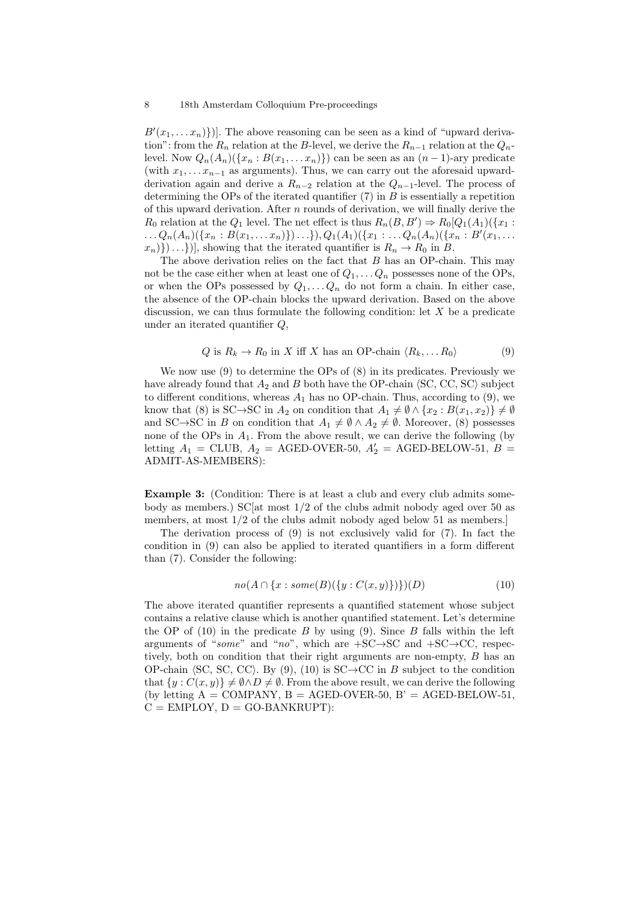$B'(x_1, \ldots, x_n))$ . The above reasoning can be seen as a kind of "upward derivation": from the  $R_n$  relation at the B-level, we derive the  $R_{n-1}$  relation at the  $Q_n$ level. Now  $Q_n(A_n)(\{x_n : B(x_1, \ldots, x_n)\})$  can be seen as an  $(n-1)$ -ary predicate (with  $x_1, \ldots, x_{n-1}$  as arguments). Thus, we can carry out the aforesaid upwardderivation again and derive a  $R_{n-2}$  relation at the  $Q_{n-1}$ -level. The process of determining the OPs of the iterated quantifier  $(7)$  in B is essentially a repetition of this upward derivation. After  $n$  rounds of derivation, we will finally derive the  $R_0$  relation at the  $Q_1$  level. The net effect is thus  $R_n(B, B') \Rightarrow R_0[Q_1(A_1)(\{x_1 :$  $\ldots Q_n(A_n)(\{x_n : B(x_1, \ldots, x_n)\}) \ldots\}, Q_1(A_1)(\{x_1 : \ldots, x_n(A_n)(\{x_n : B'(x_1, \ldots, x_n)\})\})$  $x_n$ },  $\ldots$ }), showing that the iterated quantifier is  $R_n \to R_0$  in B.

The above derivation relies on the fact that  $B$  has an OP-chain. This may not be the case either when at least one of  $Q_1, \ldots Q_n$  possesses none of the OPs, or when the OPs possessed by  $Q_1, \ldots Q_n$  do not form a chain. In either case, the absence of the OP-chain blocks the upward derivation. Based on the above discussion, we can thus formulate the following condition: let  $X$  be a predicate under an iterated quantifier Q,

$$
Q \text{ is } R_k \to R_0 \text{ in } X \text{ iff } X \text{ has an OP-chain } \langle R_k, \dots R_0 \rangle \tag{9}
$$

We now use (9) to determine the OPs of (8) in its predicates. Previously we have already found that  $A_2$  and B both have the OP-chain  $\langle$ SC, CC, SC $\rangle$  subject to different conditions, whereas  $A_1$  has no OP-chain. Thus, according to (9), we know that (8) is SC→SC in  $A_2$  on condition that  $A_1 \neq \emptyset \wedge \{x_2 : B(x_1, x_2)\}\neq \emptyset$ and SC→SC in B on condition that  $A_1 \neq \emptyset \wedge A_2 \neq \emptyset$ . Moreover, (8) possesses none of the OPs in  $A_1$ . From the above result, we can derive the following (by letting  $A_1$  = CLUB,  $A_2$  = AGED-OVER-50,  $A'_2$  = AGED-BELOW-51, B = ADMIT-AS-MEMBERS):

Example 3: (Condition: There is at least a club and every club admits somebody as members.) SC[at most  $1/2$  of the clubs admit nobody aged over 50 as members, at most  $1/2$  of the clubs admit nobody aged below 51 as members.

The derivation process of (9) is not exclusively valid for (7). In fact the condition in (9) can also be applied to iterated quantifiers in a form different than (7). Consider the following:

$$
no(A \cap \{x : some(B)(\{y : C(x, y)\})\})(D)
$$
 (10)

The above iterated quantifier represents a quantified statement whose subject contains a relative clause which is another quantified statement. Let's determine the OP of  $(10)$  in the predicate B by using  $(9)$ . Since B falls within the left arguments of "some" and "no", which are  $+SC \rightarrow SC$  and  $+SC \rightarrow CC$ , respectively, both on condition that their right arguments are non-empty, B has an OP-chain  $\langle S\mathbf{C}, \mathbf{SC}, \mathbf{C}\mathbf{C} \rangle$ . By (9), (10) is  $\mathbf{SC}\rightarrow\mathbf{CC}$  in B subject to the condition that  $\{y : C(x, y)\}\neq \emptyset \wedge D \neq \emptyset$ . From the above result, we can derive the following (by letting  $A = \text{COMPANY}$ ,  $B = \text{AGED-OVER-50}$ ,  $B' = \text{AGED-BELOW-51}$ ,  $C = EMPLOY, D = GO-BANKRUPT$ :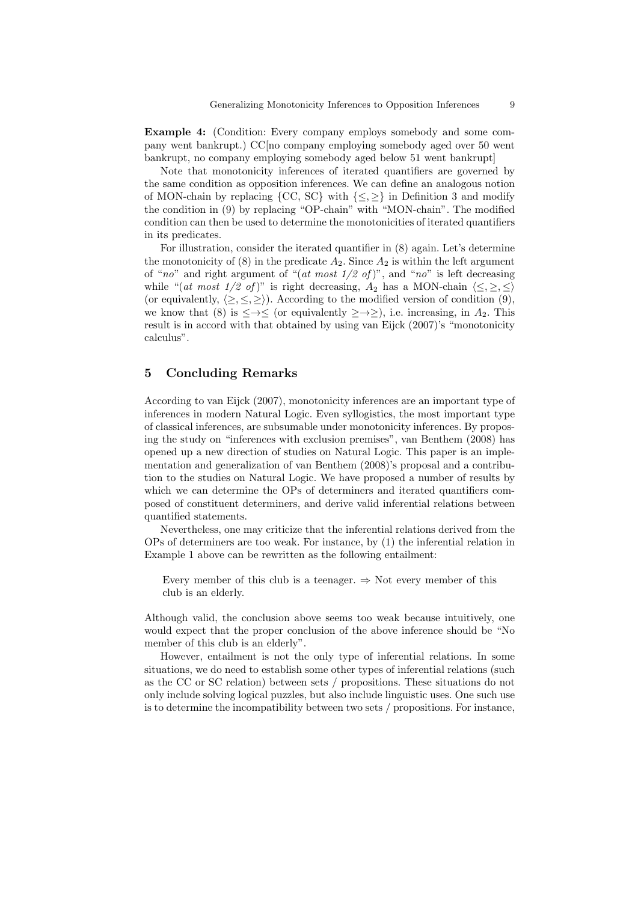Example 4: (Condition: Every company employs somebody and some company went bankrupt.) CC[no company employing somebody aged over 50 went bankrupt, no company employing somebody aged below 51 went bankrupt]

Note that monotonicity inferences of iterated quantifiers are governed by the same condition as opposition inferences. We can define an analogous notion of MON-chain by replacing  ${CC, SC}$  with  ${<, >}$  in Definition 3 and modify the condition in (9) by replacing "OP-chain" with "MON-chain". The modified condition can then be used to determine the monotonicities of iterated quantifiers in its predicates.

For illustration, consider the iterated quantifier in (8) again. Let's determine the monotonicity of (8) in the predicate  $A_2$ . Since  $A_2$  is within the left argument of "no" and right argument of " $(at \text{ most } 1/2 \text{ of})$ ", and "no" is left decreasing while "(at most 1/2 of)" is right decreasing,  $A_2$  has a MON-chain  $\langle \leq, \geq, \leq \rangle$ (or equivalently,  $\langle \rangle, \langle \rangle$ ). According to the modified version of condition (9), we know that (8) is  $\leq \to \leq$  (or equivalently  $\geq \to \geq$ ), i.e. increasing, in  $A_2$ . This result is in accord with that obtained by using van Eijck (2007)'s "monotonicity calculus".

# 5 Concluding Remarks

According to van Eijck (2007), monotonicity inferences are an important type of inferences in modern Natural Logic. Even syllogistics, the most important type of classical inferences, are subsumable under monotonicity inferences. By proposing the study on "inferences with exclusion premises", van Benthem (2008) has opened up a new direction of studies on Natural Logic. This paper is an implementation and generalization of van Benthem (2008)'s proposal and a contribution to the studies on Natural Logic. We have proposed a number of results by which we can determine the OPs of determiners and iterated quantifiers composed of constituent determiners, and derive valid inferential relations between quantified statements.

Nevertheless, one may criticize that the inferential relations derived from the OPs of determiners are too weak. For instance, by (1) the inferential relation in Example 1 above can be rewritten as the following entailment:

Every member of this club is a teenager.  $\Rightarrow$  Not every member of this club is an elderly.

Although valid, the conclusion above seems too weak because intuitively, one would expect that the proper conclusion of the above inference should be "No member of this club is an elderly".

However, entailment is not the only type of inferential relations. In some situations, we do need to establish some other types of inferential relations (such as the CC or SC relation) between sets / propositions. These situations do not only include solving logical puzzles, but also include linguistic uses. One such use is to determine the incompatibility between two sets / propositions. For instance,